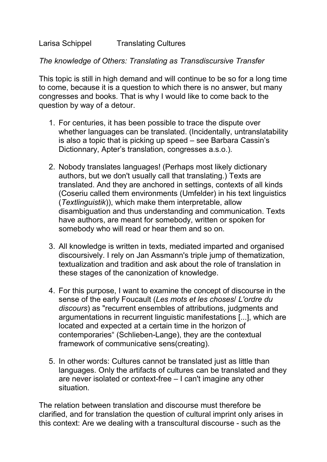*The knowledge of Others: Translating as Transdiscursive Transfer*

This topic is still in high demand and will continue to be so for a long time to come, because it is a question to which there is no answer, but many congresses and books. That is why I would like to come back to the question by way of a detour.

- 1. For centuries, it has been possible to trace the dispute over whether languages can be translated. (Incidentally, untranslatability is also a topic that is picking up speed – see Barbara Cassin's Dictionnary, Apter's translation, congresses a.s.o.).
- 2. Nobody translates languages! (Perhaps most likely dictionary authors, but we don't usually call that translating.) Texts are translated. And they are anchored in settings, contexts of all kinds (Coseriu called them environments (Umfelder) in his text linguistics (*Textlinguistik*)), which make them interpretable, allow disambiguation and thus understanding and communication. Texts have authors, are meant for somebody, written or spoken for somebody who will read or hear them and so on.
- 3. All knowledge is written in texts, mediated imparted and organised discoursively. I rely on Jan Assmann's triple jump of thematization, textualization and tradition and ask about the role of translation in these stages of the canonization of knowledge.
- 4. For this purpose, I want to examine the concept of discourse in the sense of the early Foucault (*Les mots et les choses*/ *L'ordre du discours*) as "recurrent ensembles of attributions, judgments and argumentations in recurrent linguistic manifestations [...], which are located and expected at a certain time in the horizon of contemporaries" (Schlieben-Lange), they are the contextual framework of communicative sens(creating).
- 5. In other words: Cultures cannot be translated just as little than languages. Only the artifacts of cultures can be translated and they are never isolated or context-free – I can't imagine any other situation.

The relation between translation and discourse must therefore be clarified, and for translation the question of cultural imprint only arises in this context: Are we dealing with a transcultural discourse - such as the